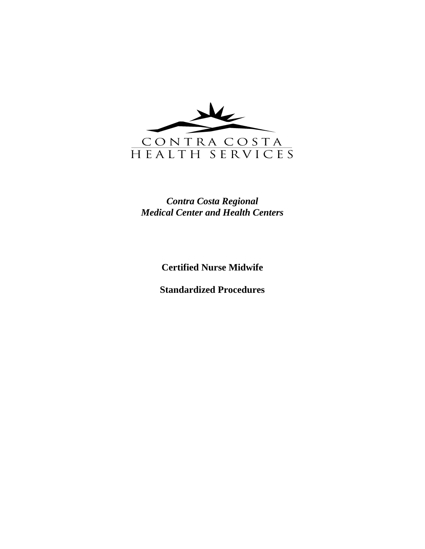

### *Contra Costa Regional Medical Center and Health Centers*

**Certified Nurse Midwife** 

**Standardized Procedures**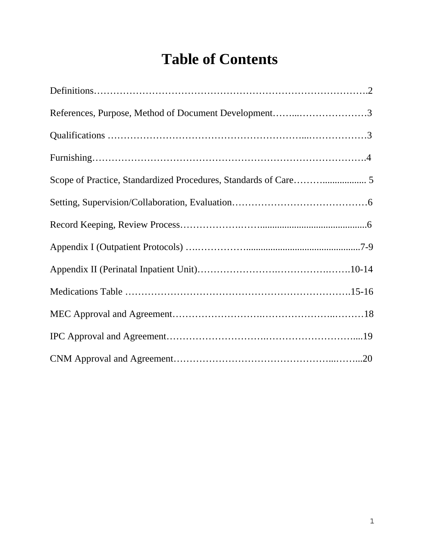# **Table of Contents**

| References, Purpose, Method of Document Development3 |
|------------------------------------------------------|
|                                                      |
|                                                      |
|                                                      |
|                                                      |
|                                                      |
|                                                      |
|                                                      |
|                                                      |
|                                                      |
|                                                      |
|                                                      |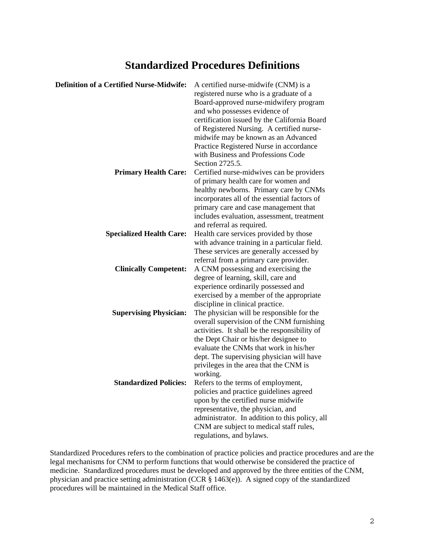### **Standardized Procedures Definitions**

| <b>Definition of a Certified Nurse-Midwife:</b> | A certified nurse-midwife (CNM) is a           |
|-------------------------------------------------|------------------------------------------------|
|                                                 | registered nurse who is a graduate of a        |
|                                                 | Board-approved nurse-midwifery program         |
|                                                 | and who possesses evidence of                  |
|                                                 | certification issued by the California Board   |
|                                                 | of Registered Nursing. A certified nurse-      |
|                                                 | midwife may be known as an Advanced            |
|                                                 | Practice Registered Nurse in accordance        |
|                                                 |                                                |
|                                                 | with Business and Professions Code             |
|                                                 | Section 2725.5.                                |
| <b>Primary Health Care:</b>                     | Certified nurse-midwives can be providers      |
|                                                 | of primary health care for women and           |
|                                                 | healthy newborns. Primary care by CNMs         |
|                                                 | incorporates all of the essential factors of   |
|                                                 | primary care and case management that          |
|                                                 | includes evaluation, assessment, treatment     |
|                                                 | and referral as required.                      |
| <b>Specialized Health Care:</b>                 | Health care services provided by those         |
|                                                 | with advance training in a particular field.   |
|                                                 | These services are generally accessed by       |
|                                                 | referral from a primary care provider.         |
| <b>Clinically Competent:</b>                    | A CNM possessing and exercising the            |
|                                                 | degree of learning, skill, care and            |
|                                                 | experience ordinarily possessed and            |
|                                                 | exercised by a member of the appropriate       |
|                                                 | discipline in clinical practice.               |
| <b>Supervising Physician:</b>                   | The physician will be responsible for the      |
|                                                 | overall supervision of the CNM furnishing      |
|                                                 | activities. It shall be the responsibility of  |
|                                                 | the Dept Chair or his/her designee to          |
|                                                 | evaluate the CNMs that work in his/her         |
|                                                 | dept. The supervising physician will have      |
|                                                 | privileges in the area that the CNM is         |
|                                                 | working.                                       |
| <b>Standardized Policies:</b>                   | Refers to the terms of employment,             |
|                                                 | policies and practice guidelines agreed        |
|                                                 | upon by the certified nurse midwife            |
|                                                 |                                                |
|                                                 | representative, the physician, and             |
|                                                 | administrator. In addition to this policy, all |
|                                                 | CNM are subject to medical staff rules,        |
|                                                 | regulations, and bylaws.                       |

Standardized Procedures refers to the combination of practice policies and practice procedures and are the legal mechanisms for CNM to perform functions that would otherwise be considered the practice of medicine. Standardized procedures must be developed and approved by the three entities of the CNM, physician and practice setting administration (CCR § 1463(e)). A signed copy of the standardized procedures will be maintained in the Medical Staff office.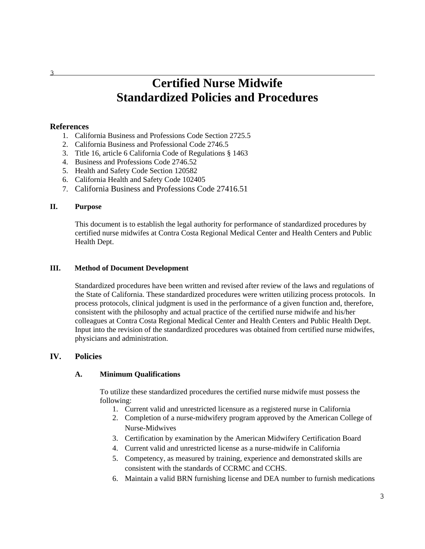## **Certified Nurse Midwife Standardized Policies and Procedures**

#### **References**

- 1. California Business and Professions Code Section 2725.5
- 2. California Business and Professional Code 2746.5
- 3. Title 16, article 6 California Code of Regulations § 1463
- 4. Business and Professions Code 2746.52
- 5. Health and Safety Code Section 120582
- 6. California Health and Safety Code 102405
- 7. California Business and Professions Code 27416.51

#### **II. Purpose**

This document is to establish the legal authority for performance of standardized procedures by certified nurse midwifes at Contra Costa Regional Medical Center and Health Centers and Public Health Dept.

#### **III. Method of Document Development**

Standardized procedures have been written and revised after review of the laws and regulations of the State of California. These standardized procedures were written utilizing process protocols. In process protocols, clinical judgment is used in the performance of a given function and, therefore, consistent with the philosophy and actual practice of the certified nurse midwife and his/her colleagues at Contra Costa Regional Medical Center and Health Centers and Public Health Dept. Input into the revision of the standardized procedures was obtained from certified nurse midwifes, physicians and administration.

#### **IV. Policies**

#### **A. Minimum Qualifications**

To utilize these standardized procedures the certified nurse midwife must possess the following:

- 1. Current valid and unrestricted licensure as a registered nurse in California
- 2. Completion of a nurse-midwifery program approved by the American College of Nurse-Midwives
- 3. Certification by examination by the American Midwifery Certification Board
- 4. Current valid and unrestricted license as a nurse-midwife in California
- 5. Competency, as measured by training, experience and demonstrated skills are consistent with the standards of CCRMC and CCHS.
- 6. Maintain a valid BRN furnishing license and DEA number to furnish medications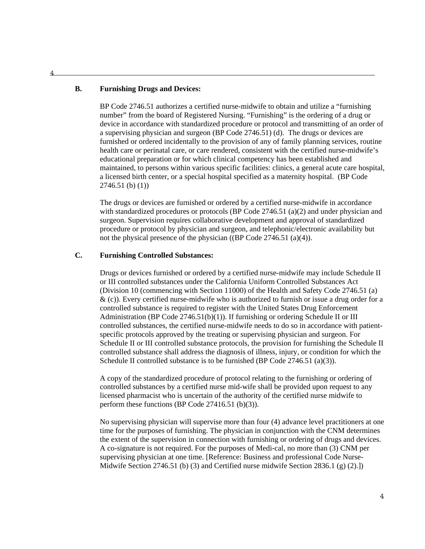#### **B. Furnishing Drugs and Devices:**

BP Code 2746.51 authorizes a certified nurse-midwife to obtain and utilize a "furnishing number" from the board of Registered Nursing. "Furnishing" is the ordering of a drug or device in accordance with standardized procedure or protocol and transmitting of an order of a supervising physician and surgeon (BP Code 2746.51) (d). The drugs or devices are furnished or ordered incidentally to the provision of any of family planning services, routine health care or perinatal care, or care rendered, consistent with the certified nurse-midwife's educational preparation or for which clinical competency has been established and maintained, to persons within various specific facilities: clinics, a general acute care hospital, a licensed birth center, or a special hospital specified as a maternity hospital. (BP Code 2746.51 (b) (1))

The drugs or devices are furnished or ordered by a certified nurse-midwife in accordance with standardized procedures or protocols (BP Code  $2746.51$  (a)(2) and under physician and surgeon. Supervision requires collaborative development and approval of standardized procedure or protocol by physician and surgeon, and telephonic/electronic availability but not the physical presence of the physician ((BP Code 2746.51 (a)(4)).

#### **C. Furnishing Controlled Substances:**

Drugs or devices furnished or ordered by a certified nurse-midwife may include Schedule II or III controlled substances under the California Uniform Controlled Substances Act (Division 10 (commencing with Section 11000) of the Health and Safety Code 2746.51 (a)  $\&$  (c)). Every certified nurse-midwife who is authorized to furnish or issue a drug order for a controlled substance is required to register with the United States Drug Enforcement Administration (BP Code 2746.51(b)(1)). If furnishing or ordering Schedule II or III controlled substances, the certified nurse-midwife needs to do so in accordance with patientspecific protocols approved by the treating or supervising physician and surgeon. For Schedule II or III controlled substance protocols, the provision for furnishing the Schedule II controlled substance shall address the diagnosis of illness, injury, or condition for which the Schedule II controlled substance is to be furnished (BP Code 2746.51 (a)(3)).

A copy of the standardized procedure of protocol relating to the furnishing or ordering of controlled substances by a certified nurse mid-wife shall be provided upon request to any licensed pharmacist who is uncertain of the authority of the certified nurse midwife to perform these functions (BP Code 27416.51 (b)(3)).

No supervising physician will supervise more than four (4) advance level practitioners at one time for the purposes of furnishing. The physician in conjunction with the CNM determines the extent of the supervision in connection with furnishing or ordering of drugs and devices. A co-signature is not required. For the purposes of Medi-cal, no more than (3) CNM per supervising physician at one time. [Reference: Business and professional Code Nurse-Midwife Section 2746.51 (b) (3) and Certified nurse midwife Section 2836.1 (g)  $(2)$ .])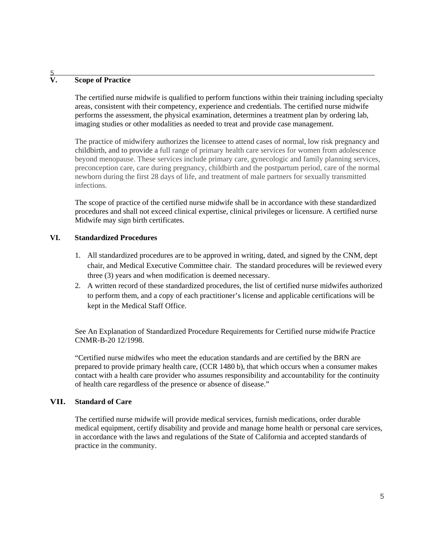#### $\frac{5}{V}$ **V. Scope of Practice**

The certified nurse midwife is qualified to perform functions within their training including specialty areas, consistent with their competency, experience and credentials. The certified nurse midwife performs the assessment, the physical examination, determines a treatment plan by ordering lab, imaging studies or other modalities as needed to treat and provide case management.

The practice of midwifery authorizes the licensee to attend cases of normal, low risk pregnancy and childbirth, and to provide a full range of primary health care services for women from adolescence beyond menopause. These services include primary care, gynecologic and family planning services, preconception care, care during pregnancy, childbirth and the postpartum period, care of the normal newborn during the first 28 days of life, and treatment of male partners for sexually transmitted infections.

The scope of practice of the certified nurse midwife shall be in accordance with these standardized procedures and shall not exceed clinical expertise, clinical privileges or licensure. A certified nurse Midwife may sign birth certificates.

#### **VI. Standardized Procedures**

- 1. All standardized procedures are to be approved in writing, dated, and signed by the CNM, dept chair, and Medical Executive Committee chair. The standard procedures will be reviewed every three (3) years and when modification is deemed necessary.
- 2. A written record of these standardized procedures, the list of certified nurse midwifes authorized to perform them, and a copy of each practitioner's license and applicable certifications will be kept in the Medical Staff Office.

See An Explanation of Standardized Procedure Requirements for Certified nurse midwife Practice CNMR-B-20 12/1998.

"Certified nurse midwifes who meet the education standards and are certified by the BRN are prepared to provide primary health care, (CCR 1480 b), that which occurs when a consumer makes contact with a health care provider who assumes responsibility and accountability for the continuity of health care regardless of the presence or absence of disease."

#### **VII. Standard of Care**

The certified nurse midwife will provide medical services, furnish medications, order durable medical equipment, certify disability and provide and manage home health or personal care services, in accordance with the laws and regulations of the State of California and accepted standards of practice in the community.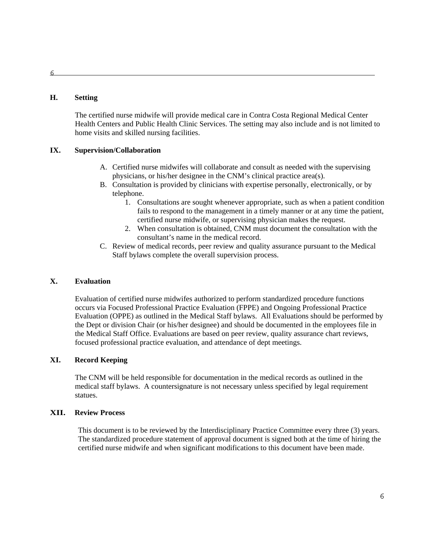#### **H. Setting**

 The certified nurse midwife will provide medical care in Contra Costa Regional Medical Center Health Centers and Public Health Clinic Services. The setting may also include and is not limited to home visits and skilled nursing facilities.

#### **IX. Supervision/Collaboration**

- A. Certified nurse midwifes will collaborate and consult as needed with the supervising physicians, or his/her designee in the CNM's clinical practice area(s).
- B. Consultation is provided by clinicians with expertise personally, electronically, or by telephone.
	- 1. Consultations are sought whenever appropriate, such as when a patient condition fails to respond to the management in a timely manner or at any time the patient, certified nurse midwife, or supervising physician makes the request.
	- 2. When consultation is obtained, CNM must document the consultation with the consultant's name in the medical record.
- C. Review of medical records, peer review and quality assurance pursuant to the Medical Staff bylaws complete the overall supervision process.

#### **X. Evaluation**

Evaluation of certified nurse midwifes authorized to perform standardized procedure functions occurs via Focused Professional Practice Evaluation (FPPE) and Ongoing Professional Practice Evaluation (OPPE) as outlined in the Medical Staff bylaws. All Evaluations should be performed by the Dept or division Chair (or his/her designee) and should be documented in the employees file in the Medical Staff Office. Evaluations are based on peer review, quality assurance chart reviews, focused professional practice evaluation, and attendance of dept meetings.

#### **XI. Record Keeping**

 The CNM will be held responsible for documentation in the medical records as outlined in the medical staff bylaws. A countersignature is not necessary unless specified by legal requirement statues.

#### **XII. Review Process**

 This document is to be reviewed by the Interdisciplinary Practice Committee every three (3) years. The standardized procedure statement of approval document is signed both at the time of hiring the certified nurse midwife and when significant modifications to this document have been made.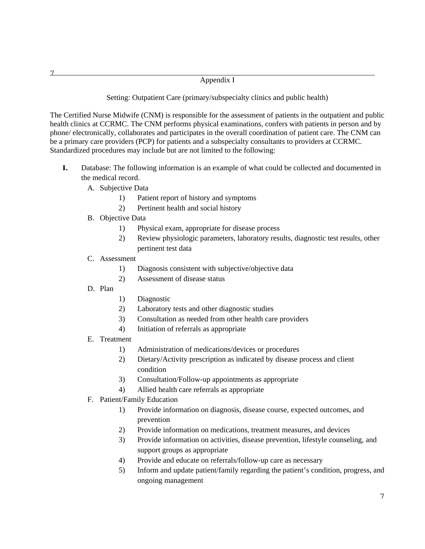#### Appendix I

Setting: Outpatient Care (primary/subspecialty clinics and public health)

The Certified Nurse Midwife (CNM) is responsible for the assessment of patients in the outpatient and public health clinics at CCRMC. The CNM performs physical examinations, confers with patients in person and by phone/ electronically, collaborates and participates in the overall coordination of patient care. The CNM can be a primary care providers (PCP) for patients and a subspecialty consultants to providers at CCRMC. Standardized procedures may include but are not limited to the following:

- **I.** Database: The following information is an example of what could be collected and documented in the medical record.
	- A. Subjective Data
		- 1) Patient report of history and symptoms
		- 2) Pertinent health and social history
	- B. Objective Data
		- 1) Physical exam, appropriate for disease process
		- 2) Review physiologic parameters, laboratory results, diagnostic test results, other pertinent test data
	- C. Assessment
		- 1) Diagnosis consistent with subjective/objective data
		- 2) Assessment of disease status
	- D. Plan
- 1) Diagnostic
- 2) Laboratory tests and other diagnostic studies
- 3) Consultation as needed from other health care providers
- 4) Initiation of referrals as appropriate
- E. Treatment
	- 1) Administration of medications/devices or procedures
	- 2) Dietary/Activity prescription as indicated by disease process and client condition
	- 3) Consultation/Follow-up appointments as appropriate
	- 4) Allied health care referrals as appropriate
- F. Patient/Family Education
	- 1) Provide information on diagnosis, disease course, expected outcomes, and prevention
	- 2) Provide information on medications, treatment measures, and devices
	- 3) Provide information on activities, disease prevention, lifestyle counseling, and support groups as appropriate
	- 4) Provide and educate on referrals/follow-up care as necessary
	- 5) Inform and update patient/family regarding the patient's condition, progress, and ongoing management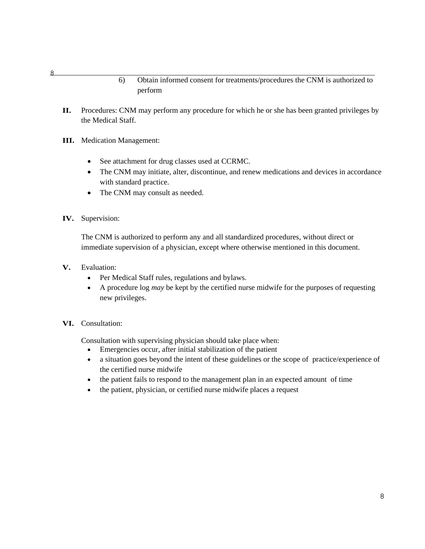#### 6) Obtain informed consent for treatments/procedures the CNM is authorized to perform

- **II.** Procedures: CNM may perform any procedure for which he or she has been granted privileges by the Medical Staff.
- **III.** Medication Management:
	- See attachment for drug classes used at CCRMC.
	- The CNM may initiate, alter, discontinue, and renew medications and devices in accordance with standard practice.
	- The CNM may consult as needed.
- **IV.** Supervision:

The CNM is authorized to perform any and all standardized procedures, without direct or immediate supervision of a physician, except where otherwise mentioned in this document.

- **V.** Evaluation:
	- Per Medical Staff rules, regulations and bylaws.
	- A procedure log *may* be kept by the certified nurse midwife for the purposes of requesting new privileges.

#### **VI.** Consultation:

Consultation with supervising physician should take place when:

- Emergencies occur, after initial stabilization of the patient
- a situation goes beyond the intent of these guidelines or the scope of practice/experience of the certified nurse midwife
- the patient fails to respond to the management plan in an expected amount of time
- the patient, physician, or certified nurse midwife places a request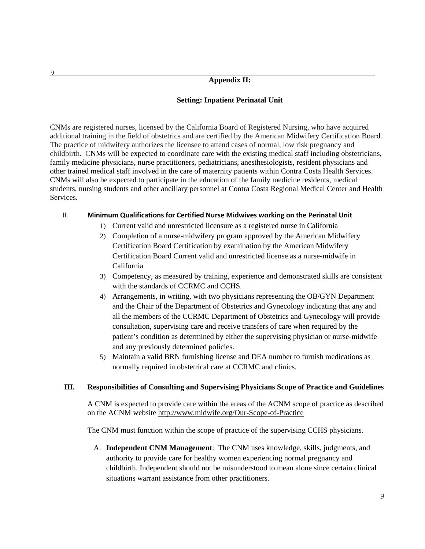#### **Appendix II:**

#### **Setting: Inpatient Perinatal Unit**

CNMs are registered nurses, licensed by the California Board of Registered Nursing, who have acquired additional training in the field of obstetrics and are certified by the American Midwifery Certification Board. The practice of midwifery authorizes the licensee to attend cases of normal, low risk pregnancy and childbirth. CNMs will be expected to coordinate care with the existing medical staff including obstetricians, family medicine physicians, nurse practitioners, pediatricians, anesthesiologists, resident physicians and other trained medical staff involved in the care of maternity patients within Contra Costa Health Services. CNMs will also be expected to participate in the education of the family medicine residents, medical students, nursing students and other ancillary personnel at Contra Costa Regional Medical Center and Health Services.

#### II. **Minimum Qualifications for Certified Nurse Midwives working on the Perinatal Unit**

- 1) Current valid and unrestricted licensure as a registered nurse in California
- 2) Completion of a nurse-midwifery program approved by the American Midwifery Certification Board Certification by examination by the American Midwifery Certification Board Current valid and unrestricted license as a nurse-midwife in California
- 3) Competency, as measured by training, experience and demonstrated skills are consistent with the standards of CCRMC and CCHS.
- 4) Arrangements, in writing, with two physicians representing the OB/GYN Department and the Chair of the Department of Obstetrics and Gynecology indicating that any and all the members of the CCRMC Department of Obstetrics and Gynecology will provide consultation, supervising care and receive transfers of care when required by the patient's condition as determined by either the supervising physician or nurse-midwife and any previously determined policies.
- 5) Maintain a valid BRN furnishing license and DEA number to furnish medications as normally required in obstetrical care at CCRMC and clinics.

#### **III. Responsibilities of Consulting and Supervising Physicians Scope of Practice and Guidelines**

A CNM is expected to provide care within the areas of the ACNM scope of practice as described on the ACNM website http://www.midwife.org/Our-Scope-of-Practice

The CNM must function within the scope of practice of the supervising CCHS physicians.

A. **Independent CNM Management**: The CNM uses knowledge, skills, judgments, and authority to provide care for healthy women experiencing normal pregnancy and childbirth. Independent should not be misunderstood to mean alone since certain clinical situations warrant assistance from other practitioners.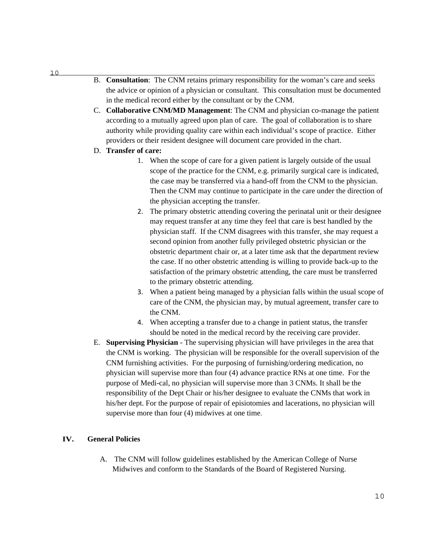- B. **Consultation**: The CNM retains primary responsibility for the woman's care and seeks the advice or opinion of a physician or consultant. This consultation must be documented in the medical record either by the consultant or by the CNM.
- C. **Collaborative CNM/MD Management**: The CNM and physician co-manage the patient according to a mutually agreed upon plan of care. The goal of collaboration is to share authority while providing quality care within each individual's scope of practice. Either providers or their resident designee will document care provided in the chart.
- D. **Transfer of care:**
	- 1. When the scope of care for a given patient is largely outside of the usual scope of the practice for the CNM, e.g. primarily surgical care is indicated, the case may be transferred via a hand-off from the CNM to the physician. Then the CNM may continue to participate in the care under the direction of the physician accepting the transfer.
	- 2. The primary obstetric attending covering the perinatal unit or their designee may request transfer at any time they feel that care is best handled by the physician staff. If the CNM disagrees with this transfer, she may request a second opinion from another fully privileged obstetric physician or the obstetric department chair or, at a later time ask that the department review the case. If no other obstetric attending is willing to provide back-up to the satisfaction of the primary obstetric attending, the care must be transferred to the primary obstetric attending.
	- 3. When a patient being managed by a physician falls within the usual scope of care of the CNM, the physician may, by mutual agreement, transfer care to the CNM.
	- 4. When accepting a transfer due to a change in patient status, the transfer should be noted in the medical record by the receiving care provider.
- E. **Supervising Physician** The supervising physician will have privileges in the area that the CNM is working. The physician will be responsible for the overall supervision of the CNM furnishing activities. For the purposing of furnishing/ordering medication, no physician will supervise more than four (4) advance practice RNs at one time. For the purpose of Medi-cal, no physician will supervise more than 3 CNMs. It shall be the responsibility of the Dept Chair or his/her designee to evaluate the CNMs that work in his/her dept. For the purpose of repair of episiotomies and lacerations, no physician will supervise more than four  $(4)$  midwives at one time.

#### **IV. General Policies**

A. The CNM will follow guidelines established by the American College of Nurse Midwives and conform to the Standards of the Board of Registered Nursing.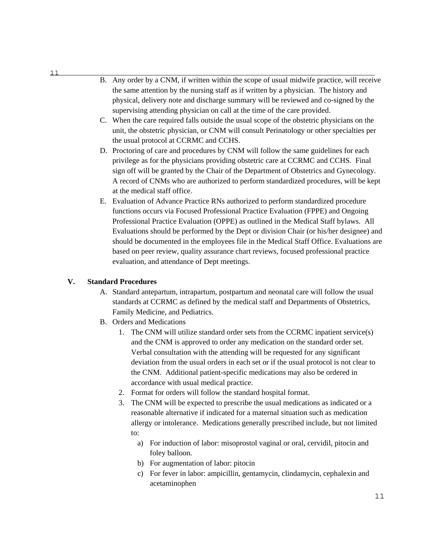- B. Any order by a CNM, if written within the scope of usual midwife practice, will receive the same attention by the nursing staff as if written by a physician. The history and physical, delivery note and discharge summary will be reviewed and co-signed by the supervising attending physician on call at the time of the care provided.
- C. When the care required falls outside the usual scope of the obstetric physicians on the unit, the obstetric physician, or CNM will consult Perinatology or other specialties per the usual protocol at CCRMC and CCHS.
- D. Proctoring of care and procedures by CNM will follow the same guidelines for each privilege as for the physicians providing obstetric care at CCRMC and CCHS. Final sign off will be granted by the Chair of the Department of Obstetrics and Gynecology. A record of CNMs who are authorized to perform standardized procedures, will be kept at the medical staff office.
- E. Evaluation of Advance Practice RNs authorized to perform standardized procedure functions occurs via Focused Professional Practice Evaluation (FPPE) and Ongoing Professional Practice Evaluation (OPPE) as outlined in the Medical Staff bylaws. All Evaluations should be performed by the Dept or division Chair (or his/her designee) and should be documented in the employees file in the Medical Staff Office. Evaluations are based on peer review, quality assurance chart reviews, focused professional practice evaluation, and attendance of Dept meetings.

#### **V. Standard Procedures**

- A. Standard antepartum, intrapartum, postpartum and neonatal care will follow the usual standards at CCRMC as defined by the medical staff and Departments of Obstetrics, Family Medicine, and Pediatrics.
- B. Orders and Medications
	- 1. The CNM will utilize standard order sets from the CCRMC inpatient service(s) and the CNM is approved to order any medication on the standard order set. Verbal consultation with the attending will be requested for any significant deviation from the usual orders in each set or if the usual protocol is not clear to the CNM. Additional patient-specific medications may also be ordered in accordance with usual medical practice.
	- 2. Format for orders will follow the standard hospital format.
	- 3. The CNM will be expected to prescribe the usual medications as indicated or a reasonable alternative if indicated for a maternal situation such as medication allergy or intolerance. Medications generally prescribed include, but not limited to:
		- a) For induction of labor: misoprostol vaginal or oral, cervidil, pitocin and foley balloon.
		- b) For augmentation of labor: pitocin
		- c) For fever in labor: ampicillin, gentamycin, clindamycin, cephalexin and acetaminophen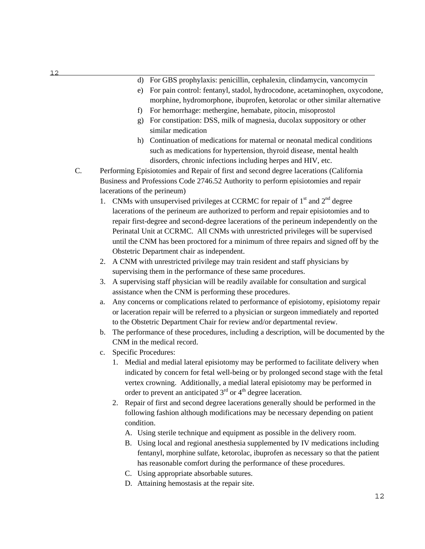- d) For GBS prophylaxis: penicillin, cephalexin, clindamycin, vancomycin
- e) For pain control: fentanyl, stadol, hydrocodone, acetaminophen, oxycodone, morphine, hydromorphone, ibuprofen, ketorolac or other similar alternative
- f) For hemorrhage: methergine, hemabate, pitocin, misoprostol
- g) For constipation: DSS, milk of magnesia, ducolax suppository or other similar medication
- h) Continuation of medications for maternal or neonatal medical conditions such as medications for hypertension, thyroid disease, mental health disorders, chronic infections including herpes and HIV, etc.
- C. Performing Episiotomies and Repair of first and second degree lacerations (California Business and Professions Code 2746.52 Authority to perform episiotomies and repair lacerations of the perineum)
	- 1. CNMs with unsupervised privileges at CCRMC for repair of  $1<sup>st</sup>$  and  $2<sup>nd</sup>$  degree lacerations of the perineum are authorized to perform and repair episiotomies and to repair first-degree and second-degree lacerations of the perineum independently on the Perinatal Unit at CCRMC. All CNMs with unrestricted privileges will be supervised until the CNM has been proctored for a minimum of three repairs and signed off by the Obstetric Department chair as independent.
	- 2. A CNM with unrestricted privilege may train resident and staff physicians by supervising them in the performance of these same procedures.
	- 3. A supervising staff physician will be readily available for consultation and surgical assistance when the CNM is performing these procedures.
	- a. Any concerns or complications related to performance of episiotomy, episiotomy repair or laceration repair will be referred to a physician or surgeon immediately and reported to the Obstetric Department Chair for review and/or departmental review.
	- b. The performance of these procedures, including a description, will be documented by the CNM in the medical record.
	- c. Specific Procedures:
		- 1. Medial and medial lateral episiotomy may be performed to facilitate delivery when indicated by concern for fetal well-being or by prolonged second stage with the fetal vertex crowning. Additionally, a medial lateral episiotomy may be performed in order to prevent an anticipated  $3<sup>rd</sup>$  or  $4<sup>th</sup>$  degree laceration.
		- 2. Repair of first and second degree lacerations generally should be performed in the following fashion although modifications may be necessary depending on patient condition.
			- A. Using sterile technique and equipment as possible in the delivery room.
			- B. Using local and regional anesthesia supplemented by IV medications including fentanyl, morphine sulfate, ketorolac, ibuprofen as necessary so that the patient has reasonable comfort during the performance of these procedures.
			- C. Using appropriate absorbable sutures.
			- D. Attaining hemostasis at the repair site.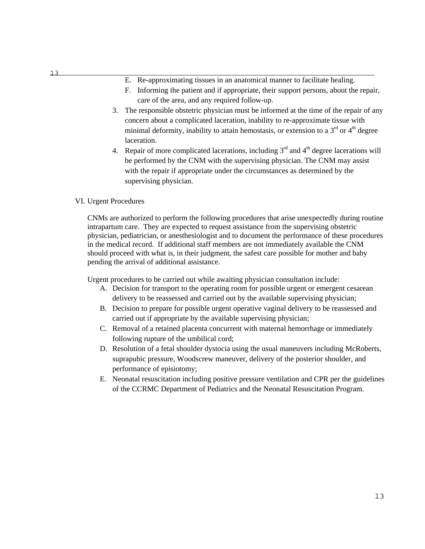- E. Re-approximating tissues in an anatomical manner to facilitate healing.
- F. Informing the patient and if appropriate, their support persons, about the repair, care of the area, and any required follow-up.
- 3. The responsible obstetric physician must be informed at the time of the repair of any concern about a complicated laceration, inability to re-approximate tissue with minimal deformity, inability to attain hemostasis, or extension to a  $3<sup>rd</sup>$  or  $4<sup>th</sup>$  degree laceration.
- 4. Repair of more complicated lacerations, including  $3<sup>rd</sup>$  and  $4<sup>th</sup>$  degree lacerations will be performed by the CNM with the supervising physician. The CNM may assist with the repair if appropriate under the circumstances as determined by the supervising physician.

#### VI. Urgent Procedures

CNMs are authorized to perform the following procedures that arise unexpectedly during routine intrapartum care. They are expected to request assistance from the supervising obstetric physician, pediatrician, or anesthesiologist and to document the performance of these procedures in the medical record. If additional staff members are not immediately available the CNM should proceed with what is, in their judgment, the safest care possible for mother and baby pending the arrival of additional assistance.

Urgent procedures to be carried out while awaiting physician consultation include:

- A. Decision for transport to the operating room for possible urgent or emergent cesarean delivery to be reassessed and carried out by the available supervising physician;
- B. Decision to prepare for possible urgent operative vaginal delivery to be reassessed and carried out if appropriate by the available supervising physician;
- C. Removal of a retained placenta concurrent with maternal hemorrhage or immediately following rupture of the umbilical cord;
- D. Resolution of a fetal shoulder dystocia using the usual maneuvers including McRoberts, suprapubic pressure, Woodscrew maneuver, delivery of the posterior shoulder, and performance of episiotomy;
- E. Neonatal resuscitation including positive pressure ventilation and CPR per the guidelines of the CCRMC Department of Pediatrics and the Neonatal Resuscitation Program.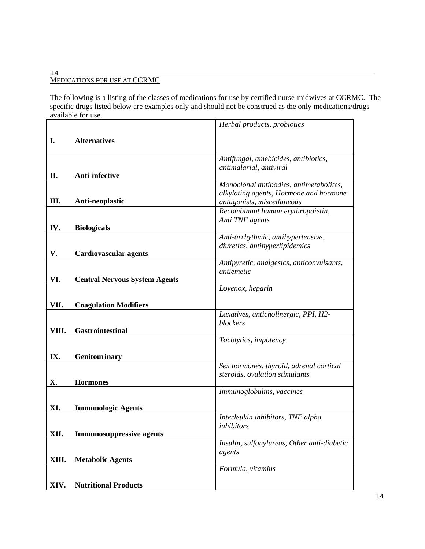#### 14 MEDICATIONS FOR USE AT CCRMC

The following is a listing of the classes of medications for use by certified nurse-midwives at CCRMC. The specific drugs listed below are examples only and should not be construed as the only medications/drugs available for use.

|       |                                      | Herbal products, probiotics                                     |
|-------|--------------------------------------|-----------------------------------------------------------------|
| I.    | <b>Alternatives</b>                  |                                                                 |
|       |                                      |                                                                 |
|       |                                      | Antifungal, amebicides, antibiotics,                            |
| П.    | Anti-infective                       | antimalarial, antiviral                                         |
|       |                                      | Monoclonal antibodies, antimetabolites,                         |
|       |                                      | alkylating agents, Hormone and hormone                          |
| Ш.    | Anti-neoplastic                      | antagonists, miscellaneous<br>Recombinant human erythropoietin, |
|       |                                      | Anti TNF agents                                                 |
| IV.   | <b>Biologicals</b>                   |                                                                 |
|       |                                      | Anti-arrhythmic, antihypertensive,                              |
| V.    | <b>Cardiovascular agents</b>         | diuretics, antihyperlipidemics                                  |
|       |                                      | Antipyretic, analgesics, anticonvulsants,                       |
|       |                                      | antiemetic                                                      |
| VI.   | <b>Central Nervous System Agents</b> | Lovenox, heparin                                                |
|       |                                      |                                                                 |
| VII.  | <b>Coagulation Modifiers</b>         |                                                                 |
|       |                                      | Laxatives, anticholinergic, PPI, H2-                            |
| VIII. | <b>Gastrointestinal</b>              | blockers                                                        |
|       |                                      | Tocolytics, impotency                                           |
|       |                                      |                                                                 |
| IX.   | Genitourinary                        | Sex hormones, thyroid, adrenal cortical                         |
|       |                                      | steroids, ovulation stimulants                                  |
| X.    | <b>Hormones</b>                      |                                                                 |
|       |                                      | Immunoglobulins, vaccines                                       |
| XI.   | <b>Immunologic Agents</b>            |                                                                 |
|       |                                      | Interleukin inhibitors, TNF alpha                               |
| XII.  | <b>Immunosuppressive agents</b>      | inhibitors                                                      |
|       |                                      | Insulin, sulfonylureas, Other anti-diabetic                     |
|       |                                      | agents                                                          |
| XIII. | <b>Metabolic Agents</b>              |                                                                 |
|       |                                      | Formula, vitamins                                               |
| XIV.  | <b>Nutritional Products</b>          |                                                                 |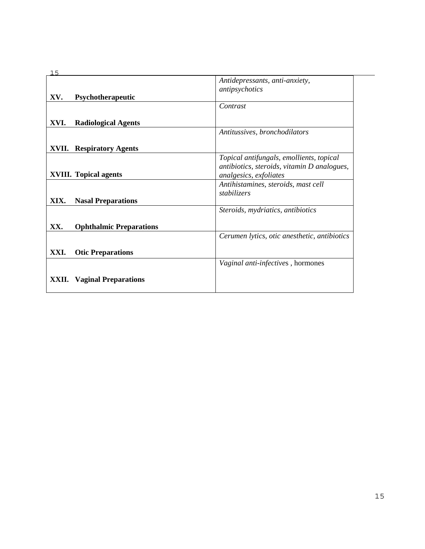|       |                                | Antidepressants, anti-anxiety,               |
|-------|--------------------------------|----------------------------------------------|
|       |                                | antipsychotics                               |
| XV.   | Psychotherapeutic              |                                              |
|       |                                | Contrast                                     |
| XVI.  | <b>Radiological Agents</b>     |                                              |
|       |                                | Antitussives, bronchodilators                |
| XVII. | <b>Respiratory Agents</b>      |                                              |
|       |                                | Topical antifungals, emollients, topical     |
|       |                                | antibiotics, steroids, vitamin D analogues,  |
|       | <b>XVIII.</b> Topical agents   | analgesics, exfoliates                       |
|       |                                | Antihistamines, steroids, mast cell          |
|       |                                | stabilizers                                  |
| XIX.  | <b>Nasal Preparations</b>      |                                              |
|       |                                | Steroids, mydriatics, antibiotics            |
| XX.   | <b>Ophthalmic Preparations</b> |                                              |
|       |                                | Cerumen lytics, otic anesthetic, antibiotics |
|       |                                |                                              |
| XXI.  | <b>Otic Preparations</b>       |                                              |
|       |                                | Vaginal anti-infectives, hormones            |
| XXII. | <b>Vaginal Preparations</b>    |                                              |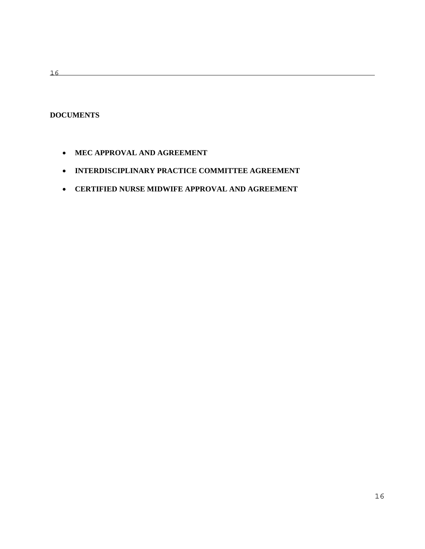16

#### **DOCUMENTS**

- **MEC APPROVAL AND AGREEMENT**
- **INTERDISCIPLINARY PRACTICE COMMITTEE AGREEMENT**
- **CERTIFIED NURSE MIDWIFE APPROVAL AND AGREEMENT**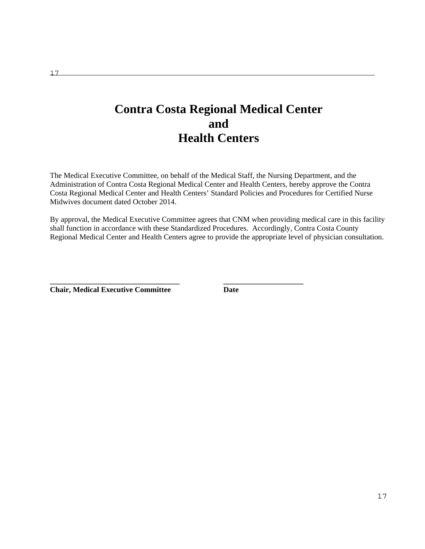## **Contra Costa Regional Medical Center and Health Centers**

The Medical Executive Committee, on behalf of the Medical Staff, the Nursing Department, and the Administration of Contra Costa Regional Medical Center and Health Centers, hereby approve the Contra Costa Regional Medical Center and Health Centers' Standard Policies and Procedures for Certified Nurse Midwives document dated October 2014.

By approval, the Medical Executive Committee agrees that CNM when providing medical care in this facility shall function in accordance with these Standardized Procedures. Accordingly, Contra Costa County Regional Medical Center and Health Centers agree to provide the appropriate level of physician consultation.

**\_\_\_\_\_\_\_\_\_\_\_\_\_\_\_\_\_\_\_\_\_\_\_\_\_\_\_\_\_\_\_\_\_\_ \_\_\_\_\_\_\_\_\_\_\_\_\_\_\_\_\_\_\_\_\_** 

**Chair, Medical Executive Committee Date**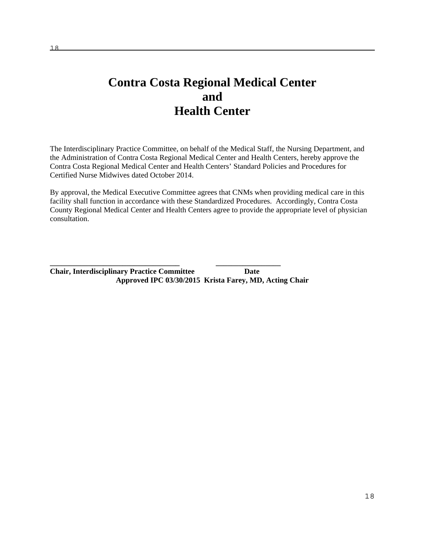## **Contra Costa Regional Medical Center and Health Center**

The Interdisciplinary Practice Committee, on behalf of the Medical Staff, the Nursing Department, and the Administration of Contra Costa Regional Medical Center and Health Centers, hereby approve the Contra Costa Regional Medical Center and Health Centers' Standard Policies and Procedures for Certified Nurse Midwives dated October 2014.

By approval, the Medical Executive Committee agrees that CNMs when providing medical care in this facility shall function in accordance with these Standardized Procedures. Accordingly, Contra Costa County Regional Medical Center and Health Centers agree to provide the appropriate level of physician consultation.

**\_\_\_\_\_\_\_\_\_\_\_\_\_\_\_\_\_\_\_\_\_\_\_\_\_\_\_\_\_\_\_\_\_\_ \_\_\_\_\_\_\_\_\_\_\_\_\_\_\_\_\_ Chair, Interdisciplinary Practice Committee Date Approved IPC 03/30/2015 Krista Farey, MD, Acting Chair**